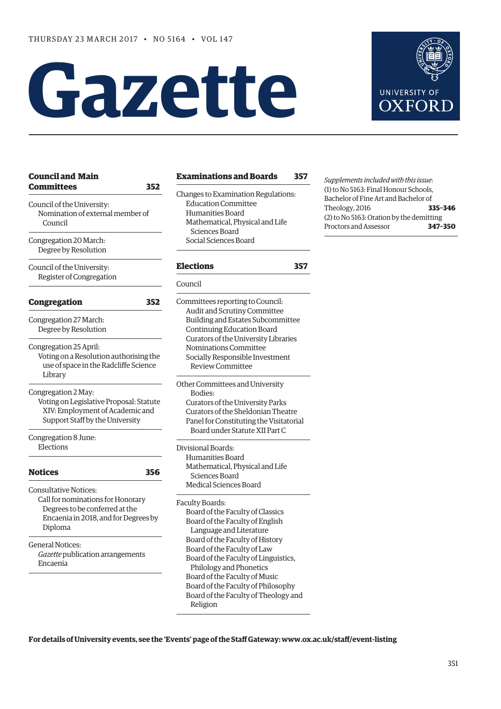# **Gazette**



| <b>Council and Main</b><br><b>Committees</b><br>352            | <b>Examinations and Boards</b>                                                        | 35  |
|----------------------------------------------------------------|---------------------------------------------------------------------------------------|-----|
| Council of the University:<br>Nomination of external member of | Changes to Examination Regulations:<br><b>Education Committee</b><br>Humanities Board |     |
| Council                                                        | Mathematical, Physical and Life<br>Sciences Board                                     |     |
| Congregation 20 March:<br>Degree by Resolution                 | Social Sciences Board                                                                 |     |
| Council of the University:<br>Register of Congregation         | <b>Elections</b>                                                                      | 35' |
|                                                                | Council                                                                               |     |
| <b>Congregation</b><br>352                                     | Committees reporting to Council:<br>Audit and Scrutiny Committee                      |     |
| Congregation 27 March:                                         | Building and Estates Subcommittee                                                     |     |
| Degree by Resolution                                           | Continuing Education Board                                                            |     |
|                                                                | Curators of the University Libraries                                                  |     |
| Congregation 25 April:                                         | Nominations Committee                                                                 |     |
| Voting on a Resolution authorising the                         | Socially Responsible Investment                                                       |     |
| use of space in the Radcliffe Science<br>Library               | <b>Review Committee</b>                                                               |     |
|                                                                | Other Committees and University                                                       |     |
| Congregation 2 May:                                            | Bodies:                                                                               |     |
| Voting on Legislative Proposal: Statute                        | Curators of the University Parks                                                      |     |
| XIV: Employment of Academic and                                | Curators of the Sheldonian Theatre                                                    |     |
| Support Staff by the University                                | Panel for Constituting the Visitatorial<br>Board under Statute XII Part C             |     |
| Congregation 8 June:<br>Elections                              |                                                                                       |     |
|                                                                | Divisional Boards:<br>Humanities Board                                                |     |
|                                                                | Mathematical, Physical and Life                                                       |     |
| <b>Notices</b><br>356                                          | Sciences Board                                                                        |     |
| <b>Consultative Notices:</b>                                   | Medical Sciences Board                                                                |     |
| Call for nominations for Honorary                              |                                                                                       |     |
| Degrees to be conferred at the                                 | Faculty Boards:                                                                       |     |
| Encaenia in 2018, and for Degrees by                           | Board of the Faculty of Classics<br>Board of the Faculty of English                   |     |
| Diploma                                                        | Language and Literature                                                               |     |
|                                                                | Board of the Faculty of History                                                       |     |
| <b>General Notices:</b>                                        | Board of the Faculty of Law                                                           |     |
| Gazette publication arrangements                               | Board of the Faculty of Linguistics,                                                  |     |
| Encaenia                                                       | Philology and Phonetics                                                               |     |
|                                                                | Board of the Faculty of Music                                                         |     |
|                                                                | Board of the Faculty of Philosophy                                                    |     |
|                                                                | Board of the Faculty of Theology and                                                  |     |

*Supplements included with this issue*: (1) to No 5163: Final Honour Schools, Bachelor of Fine Art and Bachelor of Theology, 2016 **335–346** (2) to No 5163: Oration by the demitting Proctors and Assessor **347–350**

**[Examinations and Boards](#page-6-0) 357**

**[Elections](#page-6-0) 357**

**For details of University events, see the 'Events' page of the Staff Gateway: [www.ox.ac.uk/staff/event-listing](http://www.ox.ac.uk/staff/event-listing)**

Religion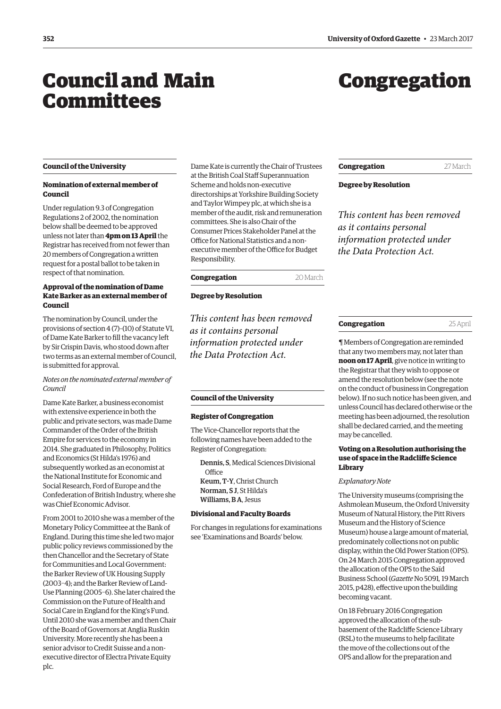# <span id="page-1-0"></span>Council and Main **Committees**

# Congregation

# **Council of the University**

# **Nomination of external member of Council**

Under regulation 9.3 of Congregation Regulations 2 of 2002, the nomination below shall be deemed to be approved unless not later than **4pm on 13 April** the Registrar has received from not fewer than 20 members of Congregation a written request for a postal ballot to be taken in respect of that nomination.

# **Approval of the nomination of Dame Kate Barker as an external member of Council**

The nomination by Council, under the provisions of section 4 (7)–(10) of Statute VI, of Dame Kate Barker to fill the vacancy left by Sir Crispin Davis, who stood down after two terms as an external member of Council, is submitted for approval.

# *Notes on the nominated external member of Council*

Dame Kate Barker, a business economist with extensive experience in both the public and private sectors, was made Dame Commander of the Order of the British Empire for services to the economy in 2014. She graduated in Philosophy, Politics and Economics (St Hilda's 1976) and subsequently worked as an economist at the National Institute for Economic and Social Research, Ford of Europe and the Confederation of British Industry, where she was Chief Economic Advisor.

From 2001 to 2010 she was a member of the Monetary Policy Committee at the Bank of England. During this time she led two major public policy reviews commissioned by the then Chancellor and the Secretary of State for Communities and Local Government: the Barker Review of UK Housing Supply (2003–4); and the Barker Review of Land-Use Planning (2005–6). She later chaired the Commission on the Future of Health and Social Care in England for the King's Fund. Until 2010 she was a member and then Chair of the Board of Governors at Anglia Ruskin University. More recently she has been a senior advisor to Credit Suisse and a nonexecutive director of Electra Private Equity plc.

Dame Kate is currently the Chair of Trustees at the British Coal Staff Superannuation Scheme and holds non-executive directorships at Yorkshire Building Society and Taylor Wimpey plc, at which she is a member of the audit, risk and remuneration committees. She is also Chair of the Consumer Prices Stakeholder Panel at the Office for National Statistics and a nonexecutive member of the Office for Budget Responsibility.

# **Congregation** 20 March

# **Degree by Resolution**

*This content has been removed as it contains personal information protected under the Data Protection Act.*

# **Council of the University**

# **Register of Congregation**

The Vice-Chancellor reports that the following names have been added to the Register of Congregation:

- Dennis, S, Medical Sciences Divisional **Office** Keum, T-Y, Christ Church Norman, S J, St Hilda's
- Williams, B A, Jesus

# **Divisional and Faculty Boards**

For changes in regulations for examinations see '[Examinations and Boards'](#page-6-0) below.

# **Congregation** 27 March

## **Degree by Resolution**

*This content has been removed as it contains personal information protected under the Data Protection Act.*

# **Congregation** 25 April

¶ Members of Congregation are reminded that any two members may, not later than **noon on 17 April**, give notice in writing to the Registrar that they wish to oppose or amend the resolution below (see the note on the conduct of business in Congregation below). If no such notice has been given, and unless Council has declared otherwise or the meeting has been adjourned, the resolution shall be declared carried, and the meeting may be cancelled.

# **Voting on a Resolution authorising the use of space in the Radcliffe Science Library**

# *Explanatory Note*

The University museums (comprising the Ashmolean Museum, the Oxford University Museum of Natural History, the Pitt Rivers Museum and the History of Science Museum) house a large amount of material, predominately collections not on public display, within the Old Power Station (OPS). On 24 March 2015 Congregation approved the allocation of the OPS to the Saïd Business School (*Gazette* No 5091*,* [19 March](http://www.ox.ac.uk/gazette/2014-2015/19march2015-no5091/congregation/#202406)  [2015, p428](http://www.ox.ac.uk/gazette/2014-2015/19march2015-no5091/congregation/#202406)), effective upon the building becoming vacant.

On 18 February 2016 Congregation approved the allocation of the subbasement of the Radcliffe Science Library (RSL) to the museums to help facilitate the move of the collections out of the OPS and allow for the preparation and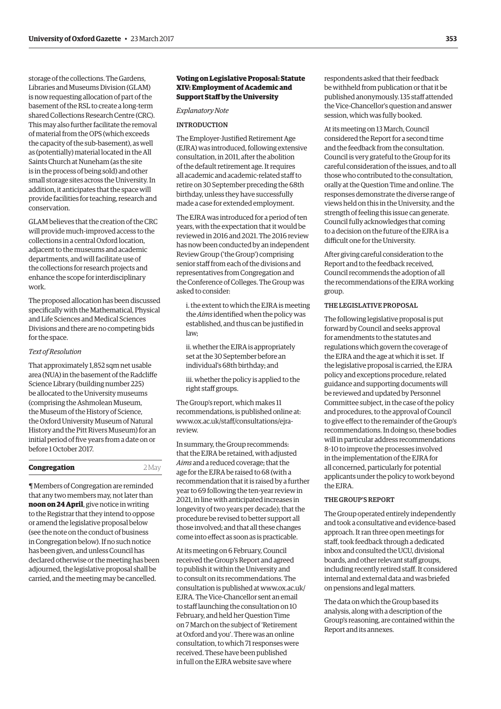storage of the collections. The Gardens, Libraries and Museums Division (GLAM) is now requesting allocation of part of the basement of the RSL to create a long-term shared Collections Research Centre (CRC). This may also further facilitate the removal of material from the OPS (which exceeds the capacity of the sub-basement), as well as (potentially) material located in the All Saints Church at Nuneham (as the site is in the process of being sold) and other small storage sites across the University. In addition, it anticipates that the space will provide facilities for teaching, research and conservation.

GLAM believes that the creation of the CRC will provide much-improved access to the collections in a central Oxford location, adjacent to the museums and academic departments, and will facilitate use of the collections for research projects and enhance the scope for interdisciplinary work.

The proposed allocation has been discussed specifically with the Mathematical, Physical and Life Sciences and Medical Sciences Divisions and there are no competing bids for the space.

## *Text of Resolution*

That approximately 1,852 sqm net usable area (NUA) in the basement of the Radcliffe Science Library (building number 225) be allocated to the University museums (comprising the Ashmolean Museum, the Museum of the History of Science, the Oxford University Museum of Natural History and the Pitt Rivers Museum) for an initial period of five years from a date on or before 1 October 2017.

# **Congregation** 2 May

¶ Members of Congregation are reminded that any two members may, not later than **noon on 24 April**, give notice in writing to the Registrar that they intend to oppose or amend the legislative proposal below (see the note on the conduct of business in Congregation below). If no such notice has been given, and unless Council has declared otherwise or the meeting has been adjourned, the legislative proposal shall be carried, and the meeting may be cancelled.

# **Voting on Legislative Proposal: Statute XIV: Employment of Academic and Support Staff by the University**

## *Explanatory Note*

# INTRODUCTION

The Employer-Justified Retirement Age (EJRA) was introduced, following extensive consultation, in 2011, after the abolition of the default retirement age. It requires all academic and academic-related staff to retire on 30 September preceding the 68th birthday, unless they have successfully made a case for extended employment.

The EJRA was introduced for a period of ten years, with the expectation that it would be reviewed in 2016 and 2021. The 2016 review has now been conducted by an independent Review Group ('the Group') comprising senior staff from each of the divisions and representatives from Congregation and the Conference of Colleges. The Group was asked to consider:

i. the extent to which the EJRA is meeting the *Aims* identified when the policy was established, and thus can be justified in law;

ii. whether the EJRA is appropriately set at the 30 September before an individual's 68th birthday; and

iii. whether the policy is applied to the right staff groups.

The Group's report, which makes 11 recommendations, is published online at: [www.ox.ac.uk/staff/consultations/ejra](www.ox.ac.uk/staff/consultations/ejra-review)review.

In summary, the Group recommends: that the EJRA be retained, with adjusted *Aims* and a reduced coverage; that the age for the EJRA be raised to 68 (with a recommendation that it is raised by a further year to 69 following the ten-year review in 2021, in line with anticipated increases in longevity of two years per decade); that the procedure be revised to better support all those involved; and that all these changes come into effect as soon as is practicable.

At its meeting on 6 February, Council received the Group's Report and agreed to publish it within the University and to consult on its recommendations. The [consultation is published at www.ox.ac.uk/](www.ox.ac.uk/EJRA) EJRA. The Vice-Chancellor sent an email to staff launching the consultation on 10 February, and held her Question Time on 7 March on the subject of 'Retirement at Oxford and you'. There was an online consultation, to which 71 responses were received. These have been published in full on the EJRA website save where

respondents asked that their feedback be withheld from publication or that it be published anonymously. 135 staff attended the Vice-Chancellor's question and answer session, which was fully booked.

At its meeting on 13 March, Council considered the Report for a second time and the feedback from the consultation. Council is very grateful to the Group for its careful consideration of the issues, and to all those who contributed to the consultation, orally at the Question Time and online. The responses demonstrate the diverse range of views held on this in the University, and the strength of feeling this issue can generate. Council fully acknowledges that coming to a decision on the future of the EJRA is a difficult one for the University.

After giving careful consideration to the Report and to the feedback received, Council recommends the adoption of all the recommendations of the EJRA working group.

# THE LEGISLATIVE PROPOSAL

The following legislative proposal is put forward by Council and seeks approval for amendments to the statutes and regulations which govern the coverage of the EJRA and the age at which it is set. If the legislative proposal is carried, the EJRA policy and exceptions procedure, related guidance and supporting documents will be reviewed and updated by Personnel Committee subject, in the case of the policy and procedures, to the approval of Council to give effect to the remainder of the Group's recommendations. In doing so, these bodies will in particular address recommendations 8–10 to improve the processes involved in the implementation of the EJRA for all concerned, particularly for potential applicants under the policy to work beyond the EJRA.

# THE GROUP'S REPORT

The Group operated entirely independently and took a consultative and evidence-based approach. It ran three open meetings for staff, took feedback through a dedicated inbox and consulted the UCU, divisional boards, and other relevant staff groups, including recently retired staff. It considered internal and external data and was briefed on pensions and legal matters.

The data on which the Group based its analysis, along with a description of the Group's reasoning, are contained within the Report and its annexes.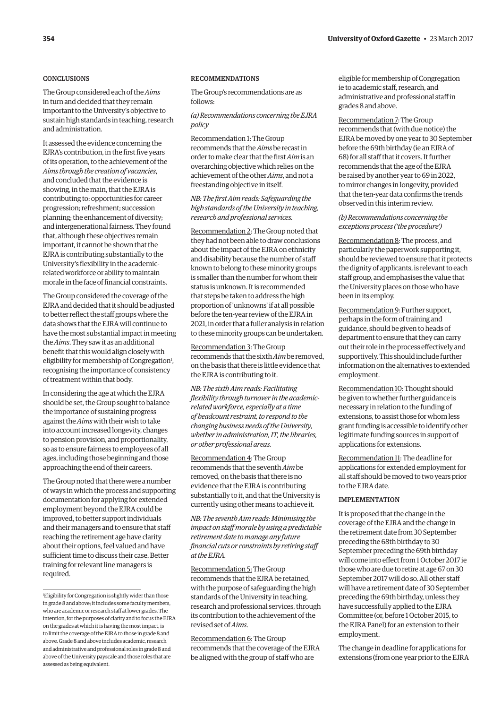# **CONCLUSIONS**

The Group considered each of the *Aims* in turn and decided that they remain important to the University's objective to sustain high standards in teaching, research and administration.

It assessed the evidence concerning the EJRA's contribution, in the first five years of its operation, to the achievement of the *Aims through the creation of vacancies*, and concluded that the evidence is showing, in the main, that the EJRA is contributing to: opportunities for career progression; refreshment; succession planning; the enhancement of diversity; and intergenerational fairness. They found that, although these objectives remain important, it cannot be shown that the EJRA is contributing substantially to the University's flexibility in the academicrelated workforce or ability to maintain morale in the face of financial constraints.

The Group considered the coverage of the EJRA and decided that it should be adjusted to better reflect the staff groups where the data shows that the EJRA will continue to have the most substantial impact in meeting the *Aims*. They saw it as an additional benefit that this would align closely with eligibility for membership of Congregation<sup>1</sup>, recognising the importance of consistency of treatment within that body.

In considering the age at which the EJRA should be set, the Group sought to balance the importance of sustaining progress against the *Aims* with their wish to take into account increased longevity, changes to pension provision, and proportionality, so as to ensure fairness to employees of all ages, including those beginning and those approaching the end of their careers.

The Group noted that there were a number of ways in which the process and supporting documentation for applying for extended employment beyond the EJRA could be improved, to better support individuals and their managers and to ensure that staff reaching the retirement age have clarity about their options, feel valued and have sufficient time to discuss their case. Better training for relevant line managers is required.

# RECOMMENDATIONS

The Group's recommendations are as follows:

*(a) Recommendations concerning the EJRA policy*

Recommendation 1: The Group recommends that the *Aims* be recast in order to make clear that the first *Aim* is an overarching objective which relies on the achievement of the other *Aims*, and not a freestanding objective in itself.

# *NB: The first Aim reads: Safeguarding the high standards of the University in teaching, research and professional services.*

Recommendation 2: The Group noted that they had not been able to draw conclusions about the impact of the EJRA on ethnicity and disability because the number of staff known to belong to these minority groups is smaller than the number for whom their status is unknown. It is recommended that steps be taken to address the high proportion of 'unknowns' if at all possible before the ten-year review of the EJRA in 2021, in order that a fuller analysis in relation to these minority groups can be undertaken.

Recommendation 3: The Group recommends that the sixth *Aim* be removed, on the basis that there is little evidence that the EJRA is contributing to it.

*NB: The sixth Aim reads: Facilitating flexibility through turnover in the academicrelated workforce, especially at a time of headcount restraint, to respond to the changing business needs of the University, whether in administration, IT, the libraries, or other professional areas.*

Recommendation 4: The Group recommends that the seventh *Aim* be removed, on the basis that there is no evidence that the EJRA is contributing substantially to it, and that the University is currently using other means to achieve it.

*NB: The seventh Aim reads: Minimising the impact on staff morale by using a predictable retirement date to manage any future financial cuts or constraints by retiring staff at the EJRA.*

Recommendation 5: The Group recommends that the EJRA be retained, with the purpose of safeguarding the high standards of the University in teaching, research and professional services, through its contribution to the achievement of the revised set of *Aims*.

Recommendation 6: The Group recommends that the coverage of the EJRA be aligned with the group of staff who are

eligible for membership of Congregation ie to academic staff, research, and administrative and professional staff in grades 8 and above.

Recommendation 7: The Group recommends that (with due notice) the EJRA be moved by one year to 30 September before the 69th birthday (ie an EJRA of 68) for all staff that it covers. It further recommends that the age of the EJRA be raised by another year to 69 in 2022, to mirror changes in longevity, provided that the ten-year data confirms the trends observed in this interim review.

# *(b) Recommendations concerning the exceptions process ('the procedure')*

Recommendation 8: The process, and particularly the paperwork supporting it, should be reviewed to ensure that it protects the dignity of applicants, is relevant to each staff group, and emphasises the value that the University places on those who have been in its employ.

Recommendation 9: Further support, perhaps in the form of training and guidance, should be given to heads of department to ensure that they can carry out their role in the process effectively and supportively. This should include further information on the alternatives to extended employment.

Recommendation 10: Thought should be given to whether further guidance is necessary in relation to the funding of extensions, to assist those for whom less grant funding is accessible to identify other legitimate funding sources in support of applications for extensions.

Recommendation 11: The deadline for applications for extended employment for all staff should be moved to two years prior to the EJRA date.

# IMPLEMENTATION

It is proposed that the change in the coverage of the EJRA and the change in the retirement date from 30 September preceding the 68th birthday to 30 September preceding the 69th birthday will come into effect from 1 October 2017 ie those who are due to retire at age 67 on 30 September 2017 will do so. All other staff will have a retirement date of 30 September preceding the 69th birthday, unless they have successfully applied to the EJRA Committee (or, before 1 October 2015, to the EJRA Panel) for an extension to their employment.

The change in deadline for applications for extensions (from one year prior to the EJRA

<sup>1</sup> Eligibility for Congregation is slightly wider than those in grade 8 and above; it includes some faculty members, who are academic or research staff at lower grades. The intention, for the purposes of clarity and to focus the EJRA on the grades at which it is having the most impact, is to limit the coverage of the EJRA to those in grade 8 and above. Grade 8 and above includes academic, research and administrative and professional roles in grade 8 and above of the University payscale and those roles that are assessed as being equivalent.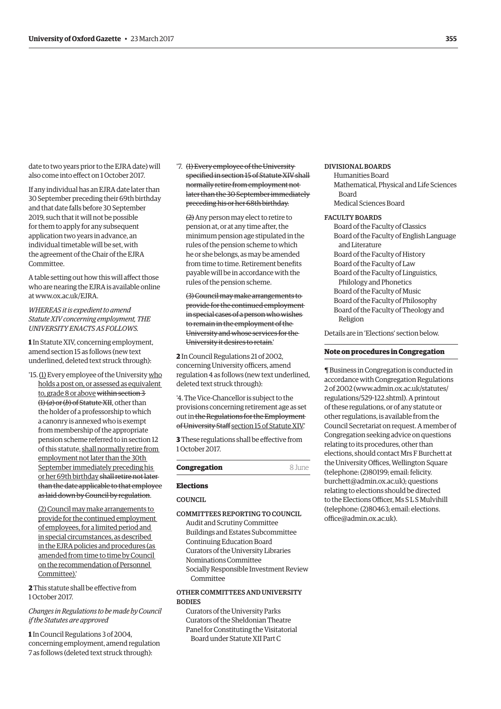date to two years prior to the EJRA date) will also come into effect on 1 October 2017.

If any individual has an EJRA date later than 30 September preceding their 69th birthday and that date falls before 30 September 2019, such that it will not be possible for them to apply for any subsequent application two years in advance, an individual timetable will be set, with the agreement of the Chair of the EJRA Committee.

A table setting out how this will affect those who are nearing the EJRA is available online at [www.ox.ac.uk/EJRA.](http://www.ox.ac.uk/EJRA)

*WHEREAS it is expedient to amend Statute XIV concerning employment, THE UNIVERSITY ENACTS AS FOLLOWS.*

**1** In Statute XIV, concerning employment, amend section 15 as follows (new text underlined, deleted text struck through):

'15. (1) Every employee of the University who holds a post on, or assessed as equivalent to, grade 8 or above within section 3 (1) (*a*) or (*b*) of Statute XII, other than the holder of a professorship to which a canonry is annexed who is exempt from membership of the appropriate pension scheme referred to in section 12 of this statute, shall normally retire from employment not later than the 30th September immediately preceding his or her 69th birthday shall retire not later than the date applicable to that employee as laid down by Council by regulation.

(2) Council may make arrangements to provide for the continued employment of employees, for a limited period and in special circumstances, as described in the EJRA policies and procedures (as amended from time to time by Council on the recommendation of Personnel Committee).'

**2** This statute shall be effective from 1 October 2017.

# *Changes in Regulations to be made by Council if the Statutes are approved*

**1** In Council Regulations 3 of 2004, concerning employment, amend regulation 7 as follows (deleted text struck through):

'7. (1) Every employee of the University specified in section 15 of Statute XIV shall normally retire from employment not later than the 30 September immediately preceding his or her 68th birthday.

(2) Any person may elect to retire to pension at, or at any time after, the minimum pension age stipulated in the rules of the pension scheme to which he or she belongs, as may be amended from time to time. Retirement benefits payable will be in accordance with the rules of the pension scheme.

(3) Council may make arrangements to provide for the continued employment in special cases of a person who wishes to remain in the employment of the University and whose services for the University it desires to retain.'

**2** In Council Regulations 21 of 2002, concerning University officers, amend regulation 4 as follows (new text underlined, deleted text struck through):

'4. The Vice-Chancellor is subject to the provisions concerning retirement age as set out in the Regulations for the Employment of University Staffsection 15 of Statute XIV.'

**3** These regulations shall be effective from 1 October 2017.

# **Congregation** 8 June

## **Elections**

# COUNCIL.

COMMITTEES REPORTING TO COUNCIL Audit and Scrutiny Committee Buildings and Estates Subcommittee Continuing Education Board Curators of the University Libraries Nominations Committee Socially Responsible Investment Review Committee

# OTHER COMMITTEES AND UNIVERSITY **BODIES**

Curators of the University Parks Curators of the Sheldonian Theatre Panel for Constituting the Visitatorial Board under Statute XII Part C

# DIVISIONAL BOARDS

Humanities Board Mathematical, Physical and Life Sciences Board Medical Sciences Board

### FACULTY BOARDS

Board of the Faculty of Classics Board of the Faculty of English Language and Literature Board of the Faculty of History Board of the Faculty of Law Board of the Faculty of Linguistics, Philology and Phonetics Board of the Faculty of Music Board of the Faculty of Philosophy Board of the Faculty of Theology and Religion

Details are in '[Elections'](#page-6-0) section below.

# **Note on procedures in Congregation**

¶ Business in Congregation is conducted in accordance with Congregation Regulations 2 of 2002 [\(www.admin.ox.ac.uk/statutes/](http://www.admin.ox.ac.uk/statutes/regulations/529-122.shtml) [regulations/529-122.shtml\). A p](http://www.admin.ox.ac.uk/statutes/regulations/529-122.shtml)rintout of these regulations, or of any statute or other regulations, is available from the Council Secretariat on request. A member of Congregation seeking advice on questions relating to its procedures, other than elections, should contact Mrs F Burchett at the University Offices, Wellington Square (telephone: (2)80199; email: felicity. [burchett@admin.ox.ac.uk\); questions](mailto:felicity.burchett@admin.ox.ac.uk)  relating to elections should be directed to the Elections Officer, Ms S L S Mulvihill [\(telephone: \(2\)80463; email: elections.](mailto:elections.office@admin.ox.ac.uk) office@admin.ox.ac.uk).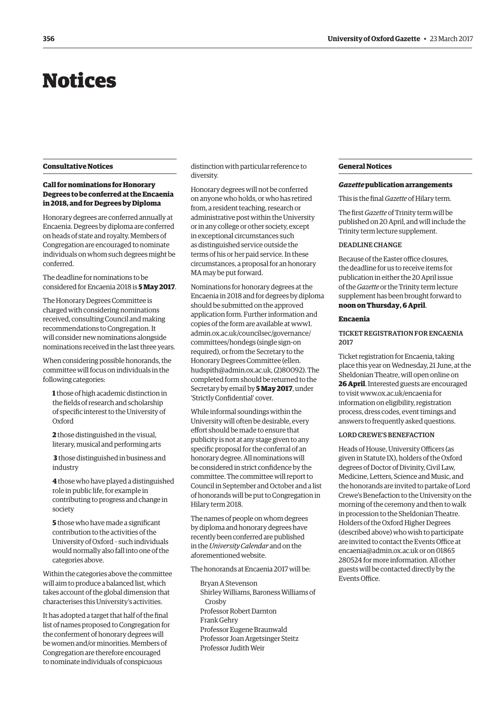# <span id="page-5-0"></span>Notices

# **Consultative Notices**

# **Call for nominations for Honorary Degrees to be conferred at the Encaenia in 2018, and for Degrees by Diploma**

Honorary degrees are conferred annually at Encaenia. Degrees by diploma are conferred on heads of state and royalty. Members of Congregation are encouraged to nominate individuals on whom such degrees might be conferred.

The deadline for nominations to be considered for Encaenia 2018 is **5 May 2017**.

The Honorary Degrees Committee is charged with considering nominations received, consulting Council and making recommendations to Congregation. It will consider new nominations alongside nominations received in the last three years.

When considering possible honorands, the committee will focus on individuals in the following categories:

**1** those of high academic distinction in the fields of research and scholarship of specific interest to the University of Oxford

**2** those distinguished in the visual, literary, musical and performing arts

**3** those distinguished in business and industry

**4** those who have played a distinguished role in public life, for example in contributing to progress and change in society

**5** those who have made a significant contribution to the activities of the University of Oxford – such individuals would normally also fall into one of the categories above.

Within the categories above the committee will aim to produce a balanced list, which takes account of the global dimension that characterises this University's activities.

It has adopted a target that half of the final list of names proposed to Congregation for the conferment of honorary degrees will be women and/or minorities. Members of Congregation are therefore encouraged to nominate individuals of conspicuous

distinction with particular reference to diversity.

Honorary degrees will not be conferred on anyone who holds, or who has retired from, a resident teaching, research or administrative post within the University or in any college or other society, except in exceptional circumstances such as distinguished service outside the terms of his or her paid service. In these circumstances, a proposal for an honorary MA may be put forward.

Nominations for honorary degrees at the Encaenia in 2018 and for degrees by diploma should be submitted on the approved application form. Further information and copies of the form are available at [www1.](https://www1.admin.ox.ac.uk/councilsec/governance/committees/hondegs) [admin.ox.ac.uk/councilsec/governance/](https://www1.admin.ox.ac.uk/councilsec/governance/committees/hondegs) committees/hondegs (single sign-on required), or from the Secretary to the Honorary Degrees Committee (ellen. [hudspith@admin.ox.ac.uk, \(2\)80092\). The](mailto:ellen.hudspith@admin.ox.ac.uk)  completed form should be returned to the Secretary by email by **5 May 2017**, under 'Strictly Confidential' cover.

While informal soundings within the University will often be desirable, every effort should be made to ensure that publicity is not at any stage given to any specific proposal for the conferral of an honorary degree. All nominations will be considered in strict confidence by the committee. The committee will report to Council in September and October and a list of honorands will be put to Congregation in Hilary term 2018.

The names of people on whom degrees by diploma and honorary degrees have recently been conferred are published in the *University Calendar* and on the aforementioned website.

The honorands at Encaenia 2017 will be:

Bryan A Stevenson Shirley Williams, Baroness Williams of Crosby Professor Robert Darnton Frank Gehry Professor Eugene Braunwald Professor Joan Argetsinger Steitz Professor Judith Weir

# **General Notices**

## *Gazette* **publication arrangements**

This is the final *Gazette* of Hilary term.

The first *Gazette* of Trinity term will be published on 20 April, and will include the Trinity term lecture supplement.

# DEADLINE CHANGE

Because of the Easter office closures, the deadline for us to receive items for publication in either the 20 April issue of the *Gazette* or the Trinity term lecture supplement has been brought forward to **noon on Thursday, 6 April**.

# **Encaenia**

# TICKET REGISTRATION FOR ENCAENIA 2017

Ticket registration for Encaenia, taking place this year on Wednesday, 21 June, at the Sheldonian Theatre, will open online on **26 April**. Interested guests are encouraged to visit [www.ox.ac.uk/encaenia fo](http://www.ox.ac.uk/encaenia)r information on eligibility, registration process, dress codes, event timings and answers to frequently asked questions.

# LORD CREWE'S BENEFACTION

Heads of House, University Officers (as given in Statute IX), holders of the Oxford degrees of Doctor of Divinity, Civil Law, Medicine, Letters, Science and Music, and the honorands are invited to partake of Lord Crewe's Benefaction to the University on the morning of the ceremony and then to walk in procession to the Sheldonian Theatre. Holders of the Oxford Higher Degrees (described above) who wish to participate are invited to contact the Events Office at [encaenia@admin.ox.ac.uk or](mailto:encaenia@admin.ox.ac.uk) on 01865 280524 for more information. All other guests will be contacted directly by the Events Office.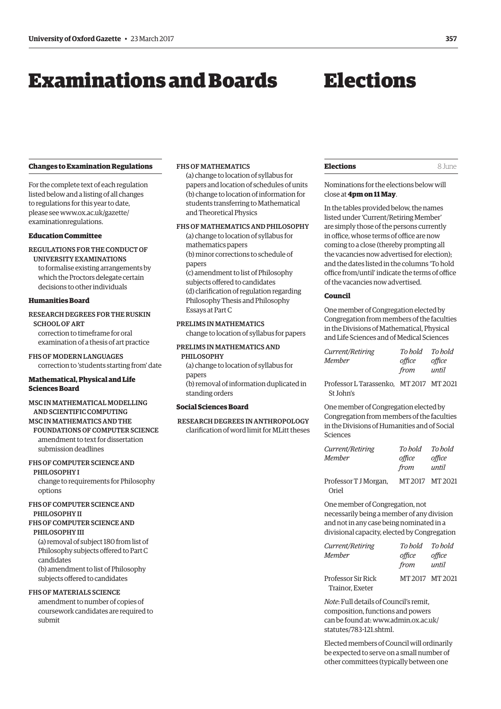# <span id="page-6-0"></span>Examinations and Boards

# Elections

# **Changes to Examination Regulations**

For the complete text of each regulation listed below and a listing of all changes to regulations for this year to date, [please see www.ox.ac.uk/gazette/](www.ox.ac.uk/gazette/examinationregulations) examinationregulations.

# **Education Committee**

REGULATIONS FOR THE CONDUCT OF UNIVERSITY EXAMINATIONS to formalise existing arrangements by

which the Proctors delegate certain decisions to other individuals

# **Humanities Board**

# RESEARCH DEGREES FOR THE RUSKIN

SCHOOL OF ART correction to timeframe for oral examination of a thesis of art practice

FHS OF MODERN LANGUAGES correction to 'students starting from' date

# **Mathematical, Physical and Life Sciences Board**

# MSC IN MATHEMATICAL MODELLING AND SCIENTIFIC COMPUTING

# MSC IN MATHEMATICS AND THE

FOUNDATIONS OF COMPUTER SCIENCE amendment to text for dissertation submission deadlines

# FHS OF COMPUTER SCIENCE AND

PHILOSOPHY I change to requirements for Philosophy

# FHS OF COMPUTER SCIENCE AND PHILOSOPHY II

options

# FHS OF COMPUTER SCIENCE AND PHILOSOPHY III

(a) removal of subject 180 from list of Philosophy subjects offered to Part C candidates (b) amendment to list of Philosophy subjects offered to candidates

# FHS OF MATERIALS SCIENCE

amendment to number of copies of coursework candidates are required to submit

# FHS OF MATHEMATICS

(a) change to location of syllabus for papers and location of schedules of units (b) change to location of information for students transferring to Mathematical and Theoretical Physics

# FHS OF MATHEMATICS AND PHILOSOPHY

- (a) change to location of syllabus for mathematics papers (b) minor corrections to schedule of papers (c) amendment to list of Philosophy
- subjects offered to candidates (d) clarification of regulation regarding Philosophy Thesis and Philosophy Essays at Part C

# PRELIMS IN MATHEMATICS

change to location of syllabus for papers

# PRELIMS IN MATHEMATICS AND PHILOSOPHY

(a) change to location of syllabus for papers (b) removal of information duplicated in standing orders

# **Social Sciences Board**

 RESEARCH DEGREES IN ANTHROPOLOGY clarification of word limit for MLitt theses

| <b>Elections</b> | 8 June |
|------------------|--------|
|------------------|--------|

Nominations for the elections below will close at **4pm on 11 May**.

In the tables provided below, the names listed under 'Current/Retiring Member' are simply those of the persons currently in office, whose terms of office are now coming to a close (thereby prompting all the vacancies now advertised for election); and the dates listed in the columns 'To hold office from/until' indicate the terms of office of the vacancies now advertised.

# **Council**

One member of Congregation elected by Congregation from members of the faculties in the Divisions of Mathematical, Physical and Life Sciences and of Medical Sciences

| Current/Retiring | To bold | To bold |
|------------------|---------|---------|
| Member           | office  | office  |
|                  | from    | until   |

Professor L Tarassenko, MT 2017 MT 2021 St John's

One member of Congregation elected by Congregation from members of the faculties in the Divisions of Humanities and of Social Sciences

| Current/Retiring<br><b>Member</b> | To hold<br>office<br>from | To hold<br>office<br>until |
|-----------------------------------|---------------------------|----------------------------|
| Professor T J Morgan,<br>Oriel    | MT2017 MT2021             |                            |

One member of Congregation, not necessarily being a member of any division and not in any case being nominated in a divisional capacity, elected by Congregation

| Current/Retiring<br>Member            | To hold<br>office | To hold<br>office |
|---------------------------------------|-------------------|-------------------|
|                                       | from              | until             |
| Professor Sir Rick<br>Trainor, Exeter | MT2017 MT2021     |                   |

*Note*: Full details of Council's remit, composition, functions and powers [can be found at: www.admin.ox.ac.uk/](www.admin.ox.ac.uk/statutes/783-121.shtml) statutes/783-121.shtml.

Elected members of Council will ordinarily be expected to serve on a small number of other committees (typically between one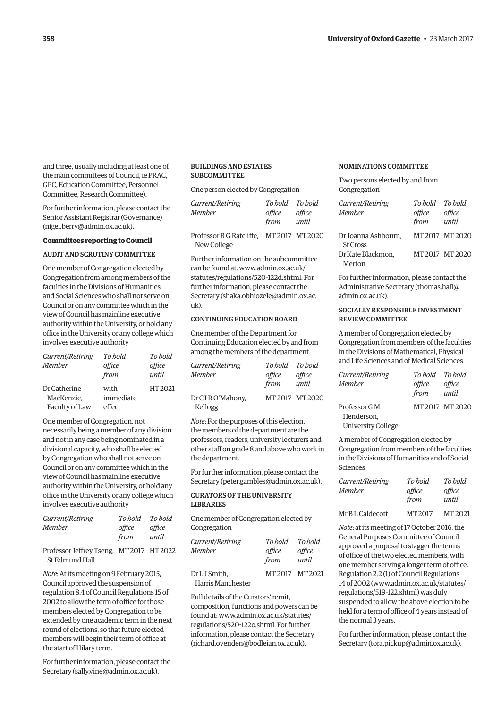and three, usually including at least one of the main committees of Council, ie PRAC, GPC, Education Committee, Personnel Committee, Research Committee).

For further information, please contact the Senior Assistant Registrar (Governance) ([nigel.berry@admin.ox.ac.uk\).](mailto:nigel.berry@admin.ox.ac.uk)

## **Committees reporting to Council**

# AUDIT AND SCRUTINY COMMITTEE

One member of Congregation elected by Congregation from among members of the faculties in the Divisions of Humanities and Social Sciences who shall not serve on Council or on any committee which in the view of Council has mainline executive authority within the University, or hold any office in the University or any college which involves executive authority

| Current/Retiring<br><b>Member</b> | To bold<br>office<br>from | To hold<br>office<br>until |
|-----------------------------------|---------------------------|----------------------------|
| Dr Catherine<br>MacKenzie.        | with<br>immediate         | HT 2021                    |
| Faculty of Law                    | effect                    |                            |

One member of Congregation, not necessarily being a member of any division and not in any case being nominated in a divisional capacity, who shall be elected by Congregation who shall not serve on Council or on any committee which in the view of Council has mainline executive authority within the University, or hold any office in the University or any college which involves executive authority

| Current/Retiring                                           | To hold | To hold |
|------------------------------------------------------------|---------|---------|
| Member                                                     | office  | office  |
|                                                            | from    | until   |
| Professor Jeffrey Tseng, MT 2017 HT 2022<br>St Edmund Hall |         |         |

*Note*: At its meeting on 9 February 2015, Council approved the suspension of regulation 8.4 of Council Regulations 15 of 2002 to allow the term of office for those members elected by Congregation to be extended by one academic term in the next round of elections, so that future elected members will begin their term of office at the start of Hilary term.

For further information, please contact the Secretary [\(sally.vine@admin.ox.ac.uk\).](mailto:sally.vine@admin.ox.ac.uk)

# BUILDINGS AND ESTATES **SUBCOMMITTEE**

One person elected by Congregation

| <i>Current/Retiring</i> |        | To hold To hold |
|-------------------------|--------|-----------------|
| Member                  | office | office          |
|                         | from   | until           |
|                         |        |                 |

Professor R G Ratcliffe, MT 2017 MT 2020 New College

Further information on the subcommittee can be found at: www.admin.ox.ac.uk/ [statutes/regulations/520-122d.shtml. For](www.admin.ox.ac.uk/statutes/regulations/520-122d.shtml)  further information, please contact the Secretary ([shaka.obhiozele@admin.ox.ac.](mailto:shaka.obhiozele@admin.ox.ac.uk)  $11k$ 

# CONTINUING EDUCATION BOARD

One member of the Department for Continuing Education elected by and from among the members of the department

| Current/Retiring           | To hold To hold |               |
|----------------------------|-----------------|---------------|
| <b>Member</b>              | office          | office        |
|                            | from            | until         |
| Dr CIRO'Mahony,<br>Kellogg |                 | MT2017 MT2020 |

*Note*: For the purposes of this election, the members of the department are the professors, readers, university lecturers and other staff on grade 8 and above who work in the department.

For further information, please contact the Secretary ([peter.gambles@admin.ox.ac.uk\).](mailto:peter.gambles@admin.ox.ac.uk)

# CURATORS OF THE UNIVERSITY LIBRARIES

One member of Congregation elected by Congregation

| Current/Retiring<br>Member         | To bold<br>office<br>from | To hold<br>office<br>until |
|------------------------------------|---------------------------|----------------------------|
| Dr L J Smith.<br>Harris Manchester | MT 2017 MT 2021           |                            |

Full details of the Curators' remit, composition, functions and powers can be [found at: www.admin.ox.ac.uk/statutes/](www.admin.ox.ac.uk/statutes/regulations/520-122o.shtml) regulations/520-122o.shtml. For further information, please contact the Secretary [\(richard.ovenden@bodleian.ox.ac.uk\).](mailto:richard.ovenden@bodleian.ox.ac.uk)

# NOMINATIONS COMMITTEE

Two persons elected by and from Congregation

| Current/Retiring<br>Memher             | To hold<br>office<br>from | To hold<br>office<br>until |
|----------------------------------------|---------------------------|----------------------------|
| Dr Joanna Ashbourn,<br><b>St Cross</b> |                           | MT 2017 MT 2020            |
| Dr Kate Blackmon.<br>Merton            |                           | MT 2017 MT 2020            |

For further information, please contact the Administrative Secretary [\(thomas.hall@](mailto:thomas.hall@admin.ox.ac.uk) [admin.ox.ac.uk\).](mailto:thomas.hall@admin.ox.ac.uk)

# SOCIALLY RESPONSIBLE INVESTMENT REVIEW COMMITTEE

A member of Congregation elected by Congregation from members of the faculties in the Divisions of Mathematical, Physical and Life Sciences and of Medical Sciences

| Current/Retiring          | To hold To hold |                 |
|---------------------------|-----------------|-----------------|
| <b>Member</b>             | office          | office          |
|                           | from            | until           |
| Professor G M             |                 | MT 2017 MT 2020 |
| Henderson.                |                 |                 |
| <b>University College</b> |                 |                 |

A member of Congregation elected by Congregation from members of the faculties in the Divisions of Humanities and of Social Sciences

| Current/Retiring | To hold        | To hold         |
|------------------|----------------|-----------------|
| Member           | office<br>from | office<br>until |
| Mr BL Caldecott  | MT 2017        | MT 2021         |

*Note*: at its meeting of 17 October 2016, the General Purposes Committee of Council approved a proposal to stagger the terms of office of the two elected members, with one member serving a longer term of office. Regulation 2.2 (1) of Council Regulations 14 of 2002 ([www.admin.ox.ac.uk/statutes/](http://www.admin.ox.ac.uk/statutes/regulations/519-122.shtml) [regulations/519-122.shtml\) wa](http://www.admin.ox.ac.uk/statutes/regulations/519-122.shtml)s duly suspended to allow the above election to be held for a term of office of 4 years instead of the normal 3 years.

For further information, please contact the Secretary ([tora.pickup@admin.ox.ac.uk\).](mailto:tora.pickup@admin.ox.ac.uk)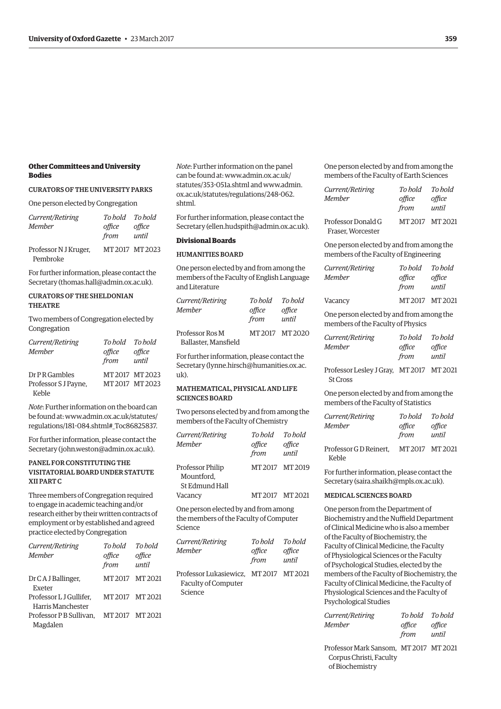# **Other Committees and University Bodies**

# CURATORS OF THE UNIVERSITY PARKS

One person elected by Congregation

| Current/Retiring                  | To hold To hold |                 |
|-----------------------------------|-----------------|-----------------|
| <b>Member</b>                     | office<br>from  | office<br>until |
| Professor N J Kruger,<br>Pembroke |                 | MT 2017 MT 2023 |

For further information, please contact the Secretary [\(thomas.hall@admin.ox.ac.uk\).](mailto:thomas.hall@admin.ox.ac.uk)

# CURATORS OF THE SHELDONIAN **THEATRE**

Two members of Congregation elected by Congregation

| Current/Retiring<br><b>Member</b> | To hold To hold<br>office<br>from | office<br>until |
|-----------------------------------|-----------------------------------|-----------------|
| Dr PR Gambles                     |                                   | MT 2017 MT 2023 |
| Professor S J Payne,              |                                   | MT2017 MT2023   |
| Keble                             |                                   |                 |

*Note*: Further information on the board can [be found at: www.admin.ox.ac.uk/statutes/](www.admin.ox.ac.uk/statutes/regulations/181-084.shtml#_Toc86825837) regulations/181-084.shtml#\_Toc86825837.

For further information, please contact the Secretary ([john.weston@admin.ox.ac.uk\).](mailto:john.weston@admin.ox.ac.uk)

# PANEL FOR CONSTITUTING THE VISITATORIAL BOARD UNDER STATUTE XII PART C

Three members of Congregation required to engage in academic teaching and/or research either by their written contracts of employment or by established and agreed practice elected by Congregation

| Current/Retiring                             | To bold         | To hold         |
|----------------------------------------------|-----------------|-----------------|
| Member                                       | office<br>from  | office<br>until |
| Dr C A J Ballinger,<br>Exeter                | MT2017 MT2021   |                 |
| Professor L J Gullifer.<br>Harris Manchester | MT2017 MT2021   |                 |
| Professor P B Sullivan.<br>Magdalen          | MT 2017 MT 2021 |                 |
|                                              |                 |                 |

*Note*: Further information on the panel can be fou[nd at: www.admin.ox.ac.uk/](www.admin.ox.ac.uk/statutes/353-051a.shtml) statutes/353-051a.shtml a[nd www.admin.](www.admin.ox.ac.uk/statutes/regulations/248-062.shtml) ox.ac.uk/statutes/regulations/248-062. shtml.

For further information, please contact the Secretary ([ellen.hudspith@admin.ox.ac.uk\).](mailto:ellen.hudspith@admin.ox.ac.uk)

## **Divisional Boards**

# HUMANITIES BOARD

One person elected by and from among the members of the Faculty of English Language and Literature

| <i>Current/Retiring</i> | To bold | To hold         |
|-------------------------|---------|-----------------|
| Member                  | office  | office          |
|                         | from    | until           |
| Professor Ros M         |         | MT 2017 MT 2020 |
| Ballaster, Mansfield    |         |                 |

For further information, please contact the Secretary ([lynne.hirsch@humanities.ox.ac.](mailto:lynne.hirsch@humanities.ox.ac.uk) [uk\).](mailto:lynne.hirsch@humanities.ox.ac.uk)

# MATHEMATICAL, PHYSICAL AND LIFE SCIENCES BOARD

Two persons elected by and from among the members of the Faculty of Chemistry

| Current/Retiring<br>Member                       | To hold<br>office<br>from | To hold<br>office<br>until |
|--------------------------------------------------|---------------------------|----------------------------|
| Professor Philip<br>Mountford.<br>St Edmund Hall |                           | MT 2017 MT 2019            |
| Vacancy                                          |                           | MT 2017 MT 2021            |
| One person elected by and from among<br>.        |                           |                            |

the members of the Faculty of Computer Science

| Current/Retiring                       | To bold | To bold |
|----------------------------------------|---------|---------|
| <b>Member</b>                          | office  | office  |
|                                        | from    | until   |
| Professor Lukasiewicz, MT 2017 MT 2021 |         |         |
| Faculty of Computer                    |         |         |
| Science                                |         |         |

One person elected by and from among the members of the Faculty of Earth Sciences

| Current/Retiring<br><b>Member</b>       | To hold<br>office<br>from | To hold<br>office<br>until |
|-----------------------------------------|---------------------------|----------------------------|
| Professor Donald G<br>Fraser, Worcester | MT2017 MT2021             |                            |

One person elected by and from among the members of the Faculty of Engineering

| Current/Retiring | To hold To hold |                 |
|------------------|-----------------|-----------------|
| <b>Member</b>    | office<br>from  | office<br>until |
| Vacancy          | MT2017 MT2021   |                 |
|                  |                 |                 |

One person elected by and from among the members of the Faculty of Physics

| Current/Retiring | To hold | To bold |
|------------------|---------|---------|
| Member           | office  | office  |
|                  | from    | until   |

Professor Lesley J Gray, MT 2017 MT 2021 St Cross

One person elected by and from among the members of the Faculty of Statistics

| Current/Retiring       | To hold        | To hold         |
|------------------------|----------------|-----------------|
| Member                 | office<br>from | office<br>until |
| Professor G D Reinert. | MT2017 MT2021  |                 |

Keble

For further information, please contact the Secretary ([saira.shaikh@mpls.ox.ac.uk\).](mailto:saira.shaikh@mpls.ox.ac.uk)

# MEDICAL SCIENCES BOARD

One person from the Department of Biochemistry and the Nuffield Department of Clinical Medicine who is also a member of the Faculty of Biochemistry, the Faculty of Clinical Medicine, the Faculty of Physiological Sciences or the Faculty of Psychological Studies, elected by the members of the Faculty of Biochemistry, the Faculty of Clinical Medicine, the Faculty of Physiological Sciences and the Faculty of Psychological Studies

| Current/Retiring | To bold | To bold |
|------------------|---------|---------|
| Member           | office  | office  |
|                  | from    | until   |

Professor Mark Sansom, MT 2017 MT 2021 Corpus Christi, Faculty of Biochemistry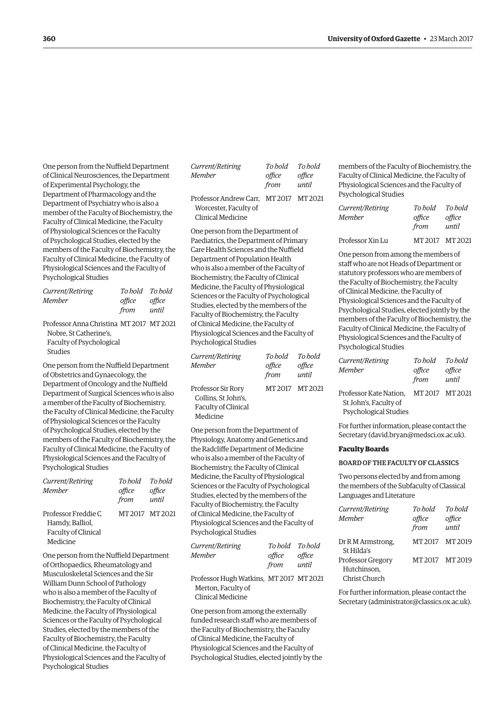One person from the Nuffield Department of Clinical Neurosciences, the Department of Experimental Psychology, the Department of Pharmacology and the Department of Psychiatry who is also a member of the Faculty of Biochemistry, the Faculty of Clinical Medicine, the Faculty of Physiological Sciences or the Faculty of Psychological Studies, elected by the members of the Faculty of Biochemistry, the Faculty of Clinical Medicine, the Faculty of Physiological Sciences and the Faculty of Psychological Studies

| Current/Retiring | To hold To hold |        |
|------------------|-----------------|--------|
| Member           | office          | office |
|                  | from            | until  |

Professor Anna Christina MT 2017 MT 2021 Nobre, St Catherine's, Faculty of Psychological Studies

One person from the Nuffield Department of Obstetrics and Gynaecology, the Department of Oncology and the Nuffield Department of Surgical Sciences who is also a member of the Faculty of Biochemistry, the Faculty of Clinical Medicine, the Faculty of Physiological Sciences or the Faculty of Psychological Studies, elected by the members of the Faculty of Biochemistry, the Faculty of Clinical Medicine, the Faculty of Physiological Sciences and the Faculty of Psychological Studies

| Current/Retiring    | To hold | To hold         |
|---------------------|---------|-----------------|
| <b>Member</b>       | office  | office          |
|                     | from    | until           |
| Professor Freddie C |         | MT 2017 MT 2021 |
| Hamdy, Balliol,     |         |                 |
| Faculty of Clinical |         |                 |
| Medicine            |         |                 |

One person from the Nuffield Department of Orthopaedics, Rheumatology and Musculoskeletal Sciences and the Sir William Dunn School of Pathology who is also a member of the Faculty of Biochemistry, the Faculty of Clinical Medicine, the Faculty of Physiological Sciences or the Faculty of Psychological Studies, elected by the members of the Faculty of Biochemistry, the Faculty of Clinical Medicine, the Faculty of Physiological Sciences and the Faculty of Psychological Studies

| Current/Retiring                       | To hold | To hold |
|----------------------------------------|---------|---------|
| <b>Member</b>                          | office  | office  |
|                                        | from    | until   |
| Professor Andrew Carr. MT 2017 MT 2021 |         |         |
| Worcester, Faculty of                  |         |         |
| Clinical Medicine                      |         |         |

One person from the Department of Paediatrics, the Department of Primary Care Health Sciences and the Nuffield Department of Population Health who is also a member of the Faculty of Biochemistry, the Faculty of Clinical Medicine, the Faculty of Physiological Sciences or the Faculty of Psychological Studies, elected by the members of the Faculty of Biochemistry, the Faculty of Clinical Medicine, the Faculty of Physiological Sciences and the Faculty of Psychological Studies

| Current/Retiring    | To hold | To hold         |
|---------------------|---------|-----------------|
| Member              | office  | office          |
|                     | from    | until           |
| Professor Sir Rory  |         | MT 2017 MT 2021 |
| Collins, St John's, |         |                 |
| Faculty of Clinical |         |                 |
| Medicine            |         |                 |

One person from the Department of Physiology, Anatomy and Genetics and the Radcliffe Department of Medicine who is also a member of the Faculty of Biochemistry, the Faculty of Clinical Medicine, the Faculty of Physiological Sciences or the Faculty of Psychological Studies, elected by the members of the Faculty of Biochemistry, the Faculty of Clinical Medicine, the Faculty of Physiological Sciences and the Faculty of Psychological Studies

| Current/Retiring |        | To hold To hold |
|------------------|--------|-----------------|
| Member           | office | office          |
|                  | from   | until           |

Professor Hugh Watkins, MT 2017 MT 2021 Merton, Faculty of Clinical Medicine

One person from among the externally funded research staff who are members of the Faculty of Biochemistry, the Faculty of Clinical Medicine, the Faculty of Physiological Sciences and the Faculty of Psychological Studies, elected jointly by the members of the Faculty of Biochemistry, the Faculty of Clinical Medicine, the Faculty of Physiological Sciences and the Faculty of Psychological Studies

| Current/Retiring | To hold | To hold       |
|------------------|---------|---------------|
| <b>Member</b>    | office  | office        |
|                  | from    | until         |
| Professor Xin Lu |         | MT2017 MT2021 |

One person from among the members of staff who are not Heads of Department or statutory professors who are members of the Faculty of Biochemistry, the Faculty of Clinical Medicine, the Faculty of Physiological Sciences and the Faculty of Psychological Studies, elected jointly by the members of the Faculty of Biochemistry, the Faculty of Clinical Medicine, the Faculty of Physiological Sciences and the Faculty of Psychological Studies

| Current/Retiring                                                         | To hold         | To hold |
|--------------------------------------------------------------------------|-----------------|---------|
| Member                                                                   | office          | office  |
|                                                                          | from            | until   |
| Professor Kate Nation,<br>St John's, Faculty of<br>Psychological Studies | MT 2017 MT 2021 |         |

For further information, please contact the Secretary ([david.bryan@medsci.ox.ac.uk\).](mailto:david.bryan@medsci.ox.ac.uk)

# **Faculty Boards**

## BOARD OF THE FACULTY OF CLASSICS

Two persons elected by and from among the members of the Subfaculty of Classical Languages and Literature

| Current/Retiring<br><b>Member</b> | To hold<br>office<br>from | To hold<br>office<br>until |
|-----------------------------------|---------------------------|----------------------------|
| Dr R M Armstrong,<br>St Hilda's   | MT 2017                   | MT 2019                    |
| <b>Professor Gregory</b>          | MT2017 MT2019             |                            |
| Hutchinson,                       |                           |                            |
| Christ Church                     |                           |                            |

For further information, please contact the Secretary ([administrator@classics.ox.ac.uk\).](mailto:administrator@classics.ox.ac.uk)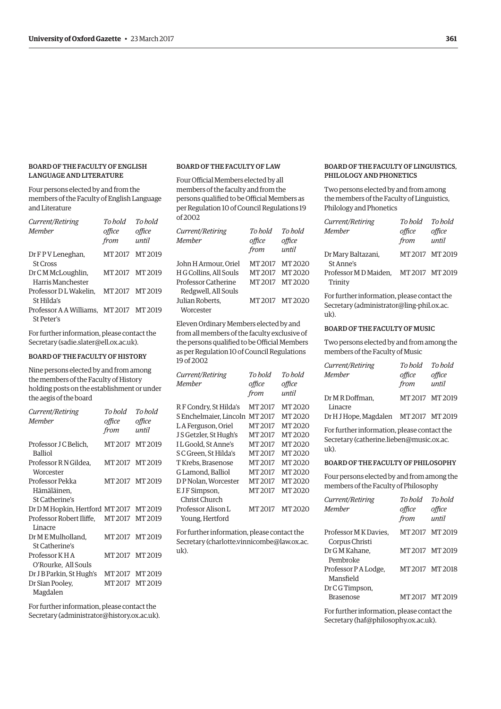# BOARD OF THE FACULTY OF ENGLISH LANGUAGE AND LITERATURE

Four persons elected by and from the members of the Faculty of English Language and Literature

| Current/Retiring<br>Member                            | To hold<br>office<br>from | To hold<br>office<br>until |
|-------------------------------------------------------|---------------------------|----------------------------|
| Dr F P V Leneghan,<br><b>St Cross</b>                 | MT 2017                   | MT 2019                    |
| Dr C M McLoughlin,<br>Harris Manchester               | MT2017 MT2019             |                            |
| Professor DL Wakelin.<br>St Hilda's                   | MT 2017                   | MT 2019                    |
| Professor A A Williams. MT 2017 MT 2019<br>St Peter's |                           |                            |

For further information, please contact the Secretary [\(sadie.slater@ell.ox.ac.uk\).](mailto:sadie.slater@ell.ox.ac.uk)

# BOARD OF THE FACULTY OF HISTORY

Nine persons elected by and from among the members of the Faculty of History holding posts on the establishment or under the aegis of the board

| Current/Retiring                                  | To hold       | To bold |
|---------------------------------------------------|---------------|---------|
| Member                                            | office        | office  |
|                                                   | from          | until   |
| Professor J C Belich.<br><b>Balliol</b>           | MT2017 MT2019 |         |
| Professor RN Gildea.<br>Worcester                 | MT2017 MT2019 |         |
| Professor Pekka                                   | MT2017 MT2019 |         |
| Hämäläinen,                                       |               |         |
| St Catherine's                                    |               |         |
| Dr D M Hopkin, Hertford MT 2017 MT 2019           |               |         |
| Professor Robert Iliffe. MT2017 MT2019<br>Linacre |               |         |
| Dr M E Mulholland,                                | MT2017 MT2019 |         |
| St Catherine's                                    |               |         |
| Professor KHA                                     | MT2017 MT2019 |         |
| O'Rourke, All Souls                               |               |         |
| Dr J B Parkin, St Hugh's                          | MT2017 MT2019 |         |
| Dr Sîan Pooley,                                   | MT2017 MT2019 |         |
| Magdalen                                          |               |         |

For further information, please contact the Secretary [\(administrator@history.ox.ac.uk\).](mailto:administrator@history.ox.ac.uk)

# BOARD OF THE FACULTY OF LAW

Four Official Members elected by all members of the faculty and from the persons qualified to be Official Members as per Regulation 10 of Council Regulations 19 of 2002

| Current/Retiring<br>Member | To bold<br>office<br>from | To hold<br>office<br>until |
|----------------------------|---------------------------|----------------------------|
| John H Armour, Oriel       | MT 2017                   | MT 2020                    |
| H G Collins. All Souls     | MT 2017                   | MT2020                     |
| Professor Catherine        | MT 2017                   | MT 2020                    |
| Redgwell, All Souls        |                           |                            |
| Julian Roberts.            |                           | MT 2017 MT 2020            |
| Worcester                  |                           |                            |

Eleven Ordinary Members elected by and from all members of the faculty exclusive of the persons qualified to be Official Members as per Regulation 10 of Council Regulations 19 of 2002

| Current/Retiring       | To bold | To hold |
|------------------------|---------|---------|
| Member                 | office  | office  |
|                        | from    | until   |
| R F Condry, St Hilda's | MT 2017 | MT 2020 |
| S Enchelmaier, Lincoln | MT 2017 | MT 2020 |
| L A Ferguson, Oriel    | MT 2017 | MT 2020 |
| J S Getzler, St Hugh's | MT 2017 | MT 2020 |
| I L Goold. St Anne's   | MT 2017 | MT 2020 |
| S C Green, St Hilda's  | MT 2017 | MT2020  |
| T Krebs, Brasenose     | MT 2017 | MT 2020 |
| G Lamond. Balliol      | MT 2017 | MT 2020 |
| DP Nolan. Worcester    | MT 2017 | MT 2020 |
| E J F Simpson,         | MT 2017 | MT 2020 |
| Christ Church          |         |         |
| Professor Alison L     | MT 2017 | MT 2020 |
| Young, Hertford        |         |         |
|                        |         |         |

For further information, please contact the Secretary ([charlotte.vinnicombe@law.ox.ac.](mailto:charlotte.vinnicombe@law.ox.ac.uk) [uk\).](mailto:charlotte.vinnicombe@law.ox.ac.uk)

# BOARD OF THE FACULTY OF LINGUISTICS, PHILOLOGY AND PHONETICS

Two persons elected by and from among the members of the Faculty of Linguistics, Philology and Phonetics

| Current/Retiring                                | To hold To hold |        |
|-------------------------------------------------|-----------------|--------|
| Member                                          | office          | office |
|                                                 | from            | until  |
| Dr Mary Baltazani,<br>St Anne's                 | MT2017 MT2019   |        |
| Professor MD Maiden. MT 2017 MT 2019<br>Trinity |                 |        |

For further information, please contact the Secretary ([administrator@ling-phil.ox.ac.](mailto:administrator@ling-phil.ox.ac.uk) [uk\).](mailto:administrator@ling-phil.ox.ac.uk)

# BOARD OF THE FACULTY OF MUSIC

Two persons elected by and from among the members of the Faculty of Music

| Current/Retiring                      | To hold       | To hold |
|---------------------------------------|---------------|---------|
| <b>Member</b>                         | office        | office  |
|                                       | from          | until   |
| Dr M R Doffman.<br>Linacre            | MT2017 MT2019 |         |
| Dr H J Hope, Magdalen MT 2017 MT 2019 |               |         |

For further information, please contact the Secretary ([catherine.lieben@music.ox.ac.](mailto:catherine.lieben@music.ox.ac.uk) [uk\).](mailto:catherine.lieben@music.ox.ac.uk)

# BOARD OF THE FACULTY OF PHILOSOPHY

Four persons elected by and from among the members of the Faculty of Philosophy

| Current/Retiring<br>Member             | To hold<br>office<br>from | To hold<br>office<br>until |
|----------------------------------------|---------------------------|----------------------------|
| Professor MK Davies,<br>Corpus Christi |                           | MT2017 MT2019              |
| Dr G M Kahane.<br>Pembroke             |                           | MT2017 MT2019              |
| Professor P A Lodge,<br>Mansfield      |                           | MT2017 MT2018              |
| Dr CG Timpson,                         |                           |                            |
| <b>Brasenose</b>                       |                           | MT2017 MT2019              |

For further information, please contact the Secretary ([haf@philosophy.ox.ac.uk\).](mailto:haf@philosophy.ox.ac.uk)